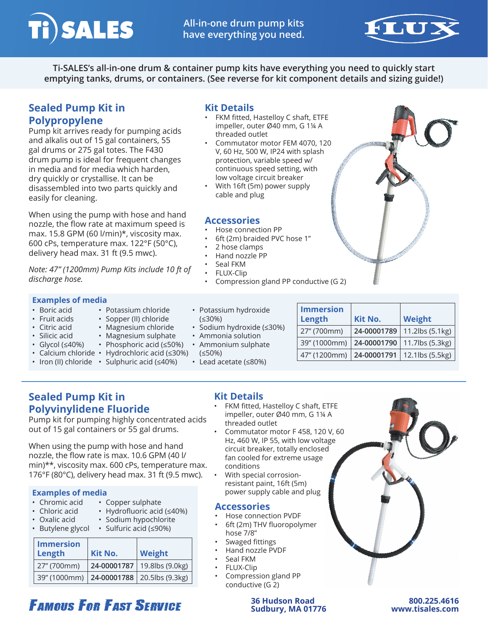



**Ti-SALES's all-in-one drum & container pump kits have everything you need to quickly start emptying tanks, drums, or containers. (See reverse for kit component details and sizing guide!)**

threaded outlet

cable and plug

• 2 hose clamps • Hand nozzle PP Seal FKM • FLUX-Clip

• Hose connection PP

• 6ft (2m) braided PVC hose 1"

**Accessories**

protection, variable speed w/ continuous speed setting, with low voltage circuit breaker • With 16ft (5m) power supply

**Kit Details**

# **Sealed Pump Kit in Polypropylene**

Pump kit arrives ready for pumping acids and alkalis out of 15 gal containers, 55 gal drums or 275 gal totes. The F430 drum pump is ideal for frequent changes in media and for media which harden, dry quickly or crystallise. It can be disassembled into two parts quickly and easily for cleaning.

When using the pump with hose and hand nozzle, the flow rate at maximum speed is max. 15.8 GPM (60 l/min)\*, viscosity max. 600 cPs, temperature max. 122°F (50°C), delivery head max. 31 ft (9.5 mwc).

*Note: 47" (1200mm) Pump Kits include 10 ft of discharge hose.*

### **Examples of media**

- Boric acid
- Fruit acids
- Citric acid
- Silicic acid
- Glycol (≤40%)
- Magnesium sulphate • Phosphoric acid (≤50%)

• Potassium chloride • Sopper (II) chloride • Magnesium chloride

- Calcium chloride Hydrochloric acid (≤30%) • Iron (II) chloride • Sulphuric acid (≤40%)
- (≤30%) • Sodium hydroxide (≤30%) • Ammonia solution

• Lead acetate (≤80%)

(≤50%)

• Potassium hydroxide

- Ammonium sulphate
- **Length Kit No. Weight** 27" (700mm) **24-00001789** 11.2lbs (5.1kg) 39" (1000mm) **24-00001790** 11.7lbs (5.3kg) 47" (1200mm) **24-00001791** 12.1lbs (5.5kg)

**Immersion** 

**Sealed Pump Kit in Polyvinylidene Fluoride**

Pump kit for pumping highly concentrated acids out of 15 gal containers or 55 gal drums.

When using the pump with hose and hand nozzle, the flow rate is max. 10.6 GPM (40 l/ min)\*\*, viscosity max. 600 cPs, temperature max. 176°F (80°C), delivery head max. 31 ft (9.5 mwc).

## **Examples of media**

- Chromic acid
- Chloric acid • Hydrofluoric acid (≤40%)
- Oxalic acid
- Sodium hypochlorite

• Copper sulphate

• Butylene glycol • Sulfuric acid (≤90%)

| <b>Immersion</b><br>Length                   | Kit No.     | Weight          |
|----------------------------------------------|-------------|-----------------|
| 27" (700mm)                                  | 24-00001787 | 19.8lbs (9.0kg) |
| 39" (1000mm)   24-00001788   20.5lbs (9.3kg) |             |                 |

**FAMOUS FOR FAST SERVICE** 

## **Kit Details**

- FKM fitted, Hastelloy C shaft, ETFE impeller, outer Ø40 mm, G 1¼ A threaded outlet
- Commutator motor F 458, 120 V, 60 Hz, 460 W, IP 55, with low voltage circuit breaker, totally enclosed fan cooled for extreme usage conditions
- With special corrosionresistant paint, 16ft (5m) power supply cable and plug

## **Accessories**

- Hose connection PVDF
- 6ft (2m) THV fluoropolymer hose 7/8"
- Swaged fittings
- Hand nozzle PVDF
- Seal FKM
- FLUX-Clip
	- Compression gland PP
	- conductive (G 2)

#### **36 Hudson Road 800.225.4616 Sudbury, MA 01776 www.tisales.com**

FKM fitted, Hastelloy C shaft, ETFE impeller, outer Ø40 mm, G 1¼ A • Commutator motor FEM 4070, 120 V, 60 Hz, 500 W, IP24 with splash • Compression gland PP conductive (G 2)